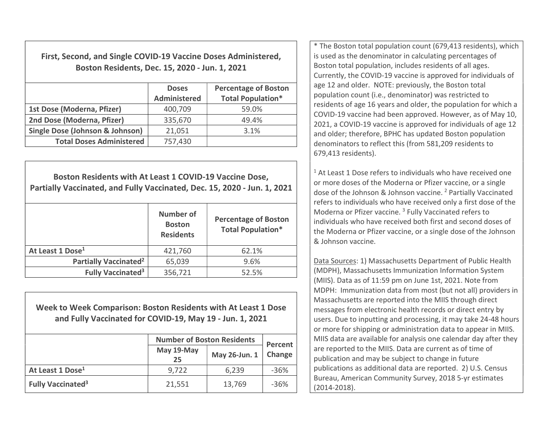First, Second, and Single COVID-19 Vaccine Doses Administered, Boston Residents, Dec. 15, 2020 - Jun. 1, 2021

|                                            | <b>Doses</b><br><b>Administered</b> | <b>Percentage of Boston</b><br><b>Total Population*</b> |
|--------------------------------------------|-------------------------------------|---------------------------------------------------------|
| 1st Dose (Moderna, Pfizer)                 | 400,709                             | 59.0%                                                   |
| 2nd Dose (Moderna, Pfizer)                 | 335,670                             | 49.4%                                                   |
| <b>Single Dose (Johnson &amp; Johnson)</b> | 21,051                              | 3.1%                                                    |
| <b>Total Doses Administered</b>            | 757,430                             |                                                         |

Boston Residents with At Least 1 COVID-19 Vaccine Dose, Partially Vaccinated, and Fully Vaccinated, Dec. 15, 2020 - Jun. 1, 2021 Number of Boston Residents Percentage of Boston Total Population\* At Least 1 Dose<sup>1</sup>  $421.760$  62.1% **Partially Vaccinated<sup>2</sup>**  $65,039$  9.6% Fully Vaccinated<sup>3</sup>  $356,721$  52.5%

Week to Week Comparison: Boston Residents with At Least 1 Dose and Fully Vaccinated for COVID-19, May 19 - Jun. 1, 2021

|                                     | <b>Number of Boston Residents</b> | <b>Percent</b> |        |  |
|-------------------------------------|-----------------------------------|----------------|--------|--|
|                                     | May 19-May<br>25                  | May 26-Jun. 1  | Change |  |
| At Least 1 Dose <sup>1</sup>        | 9,722                             | 6,239          | $-36%$ |  |
| <b>Fully Vaccinated<sup>3</sup></b> | 21,551                            | 13,769         | $-36%$ |  |

\* The Boston total population count (679,413 residents), which is used as the denominator in calculating percentages of Boston total population, includes residents of all ages. Currently, the COVID-19 vaccine is approved for individuals of age 12 and older. NOTE: previously, the Boston total population count (i.e., denominator) was restricted to residents of age 16 years and older, the population for which a COVID-19 vaccine had been approved. However, as of May 10, 2021, a COVID-19 vaccine is approved for individuals of age 12 and older; therefore, BPHC has updated Boston population denominators to reflect this (from 581,209 residents to 679,413 residents).

<sup>1</sup> At Least 1 Dose refers to individuals who have received one or more doses of the Moderna or Pfizer vaccine, or a single dose of the Johnson & Johnson vaccine.<sup>2</sup> Partially Vaccinated refers to individuals who have received only a first dose of the Moderna or Pfizer vaccine.<sup>3</sup> Fully Vaccinated refers to individuals who have received both first and second doses of the Moderna or Pfizer vaccine, or a single dose of the Johnson & Johnson vaccine.

Data Sources: 1) Massachusetts Department of Public Health (MDPH), Massachusetts Immunization Information System (MIIS). Data as of 11:59 pm on June 1st, 2021. Note from MDPH: Immunization data from most (but not all) providers in Massachusetts are reported into the MIIS through direct messages from electronic health records or direct entry by users. Due to inputting and processing, it may take 24-48 hours or more for shipping or administration data to appear in MIIS. MIIS data are available for analysis one calendar day after they are reported to the MIIS. Data are current as of time of publication and may be subject to change in future publications as additional data are reported. 2) U.S. Census Bureau, American Community Survey, 2018 5-yr estimates (2014-2018).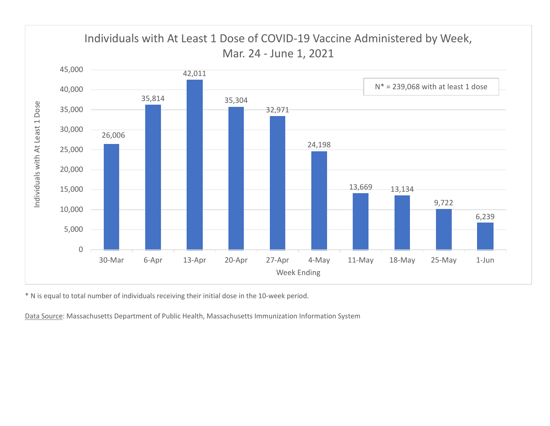

\* N is equal to total number of individuals receiving their initial dose in the 10-week period.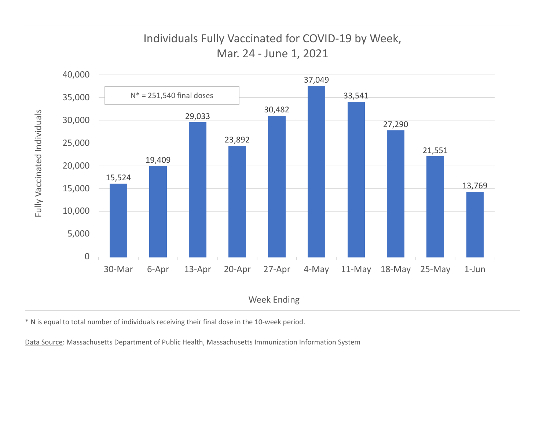

\* N is equal to total number of individuals receiving their final dose in the 10-week period.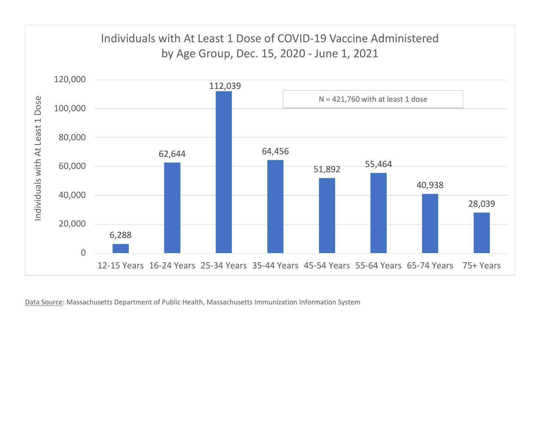

Data Source: Massachusetts Department of Public Health, Massachusetts Immunization Information System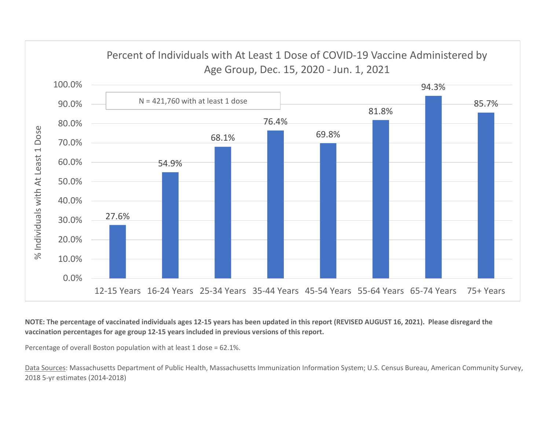

NOTE: The percentage of vaccinated individuals ages 12-15 years has been updated in this report (REVISED AUGUST 16, 2021). Please disregard the vaccination percentages for age group 12-15 years included in previous versions of this report.

Percentage of overall Boston population with at least 1 dose = 62.1%.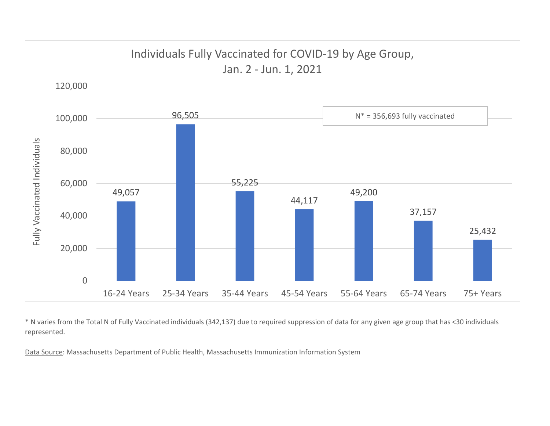

\* N varies from the Total N of Fully Vaccinated individuals (342,137) due to required suppression of data for any given age group that has <30 individuals represented.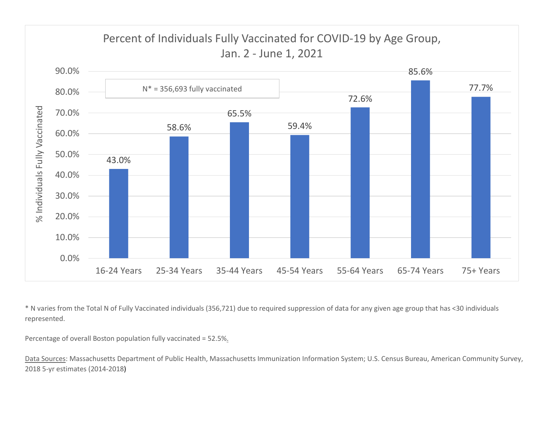

\* N varies from the Total N of Fully Vaccinated individuals (356,721) due to required suppression of data for any given age group that has <30 individuals represented.

Percentage of overall Boston population fully vaccinated = 52.5%.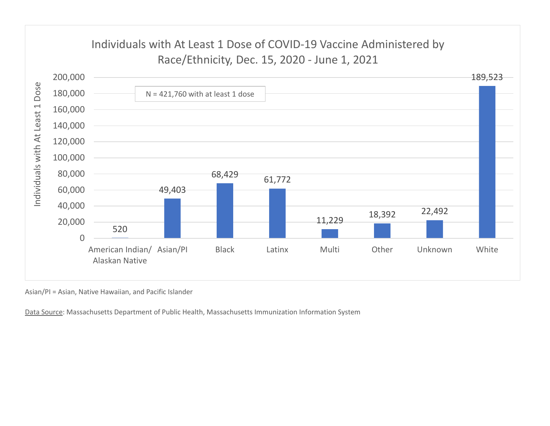

Asian/PI = Asian, Native Hawaiian, and Pacific Islander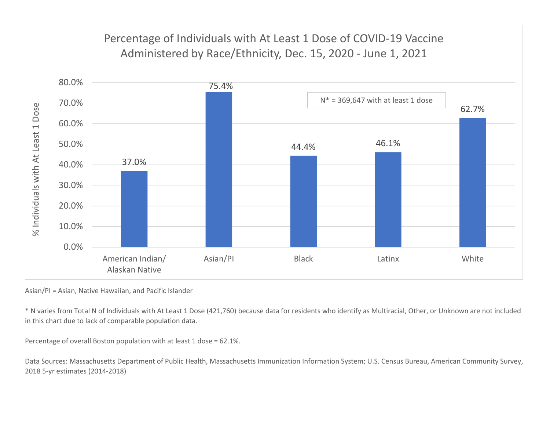

Asian/PI = Asian, Native Hawaiian, and Pacific Islander

\* N varies from Total N of Individuals with At Least 1 Dose (421,760) because data for residents who identify as Multiracial, Other, or Unknown are not included in this chart due to lack of comparable population data.

Percentage of overall Boston population with at least 1 dose = 62.1%.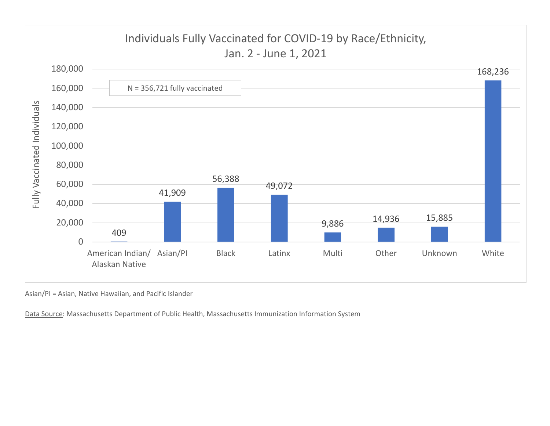

Asian/PI = Asian, Native Hawaiian, and Pacific Islander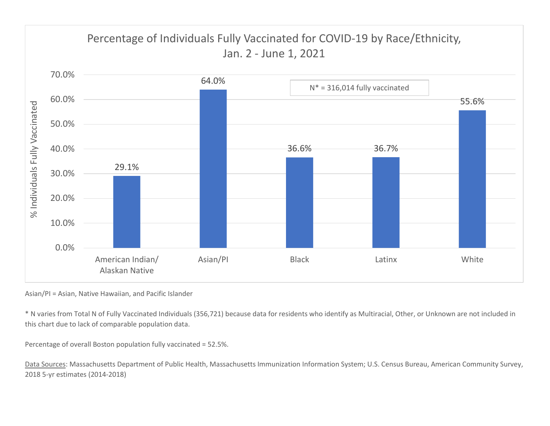

Asian/PI = Asian, Native Hawaiian, and Pacific Islander

\* N varies from Total N of Fully Vaccinated Individuals (356,721) because data for residents who identify as Multiracial, Other, or Unknown are not included in this chart due to lack of comparable population data.

Percentage of overall Boston population fully vaccinated = 52.5%.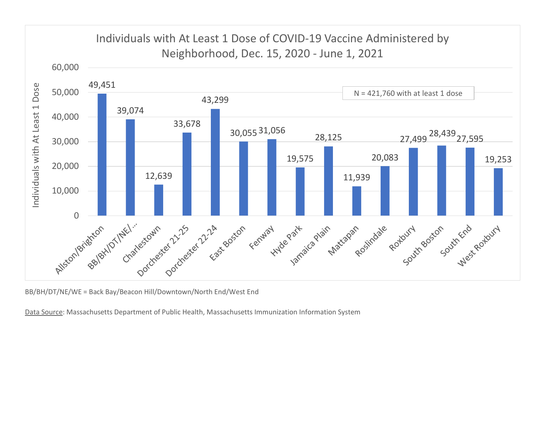

BB/BH/DT/NE/WE = Back Bay/Beacon Hill/Downtown/North End/West End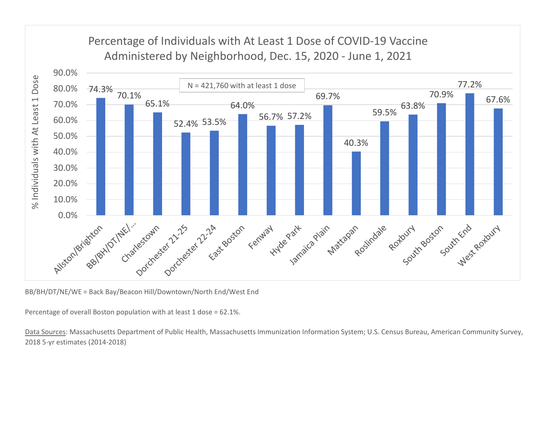

BB/BH/DT/NE/WE = Back Bay/Beacon Hill/Downtown/North End/West End

Percentage of overall Boston population with at least 1 dose = 62.1%.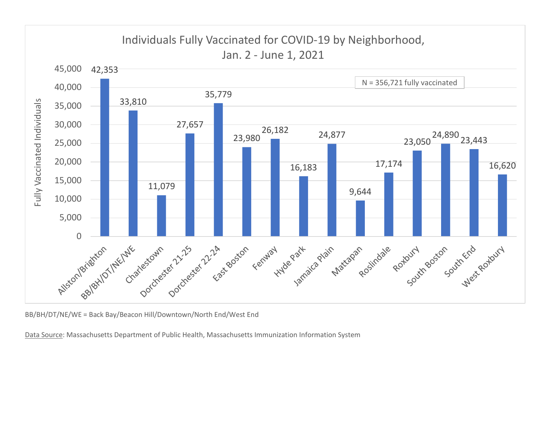

BB/BH/DT/NE/WE = Back Bay/Beacon Hill/Downtown/North End/West End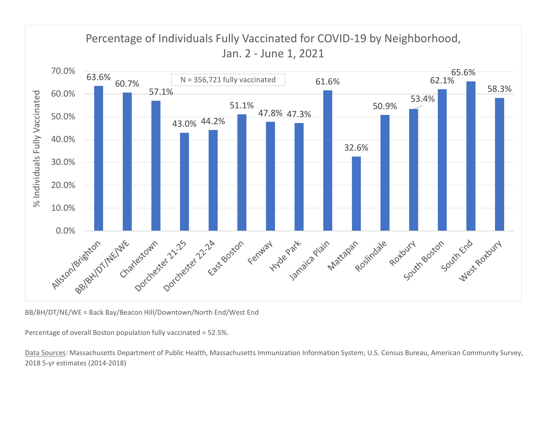

BB/BH/DT/NE/WE = Back Bay/Beacon Hill/Downtown/North End/West End

Percentage of overall Boston population fully vaccinated = 52.5%.